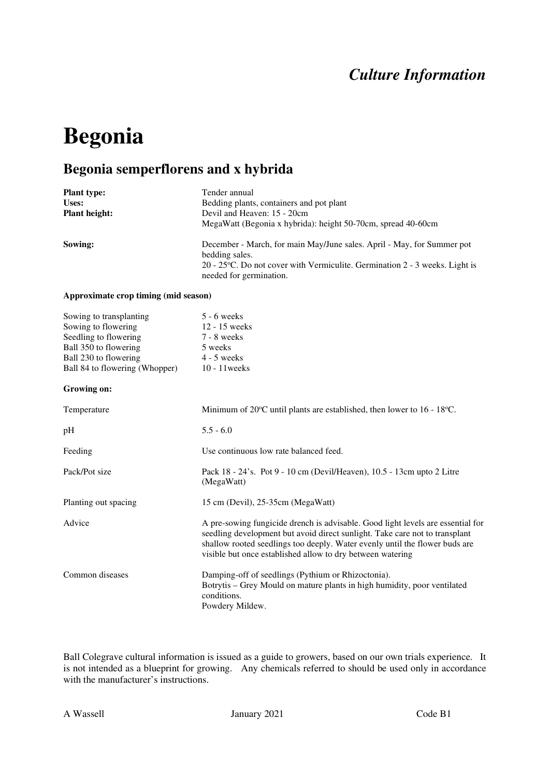# *Culture Information*

# **Begonia**

### **Begonia semperflorens and x hybrida**

| <b>Plant type:</b><br><b>Uses:</b><br><b>Plant height:</b> | Tender annual<br>Bedding plants, containers and pot plant<br>Devil and Heaven: 15 - 20cm<br>MegaWatt (Begonia x hybrida): height 50-70cm, spread 40-60cm                                                     |
|------------------------------------------------------------|--------------------------------------------------------------------------------------------------------------------------------------------------------------------------------------------------------------|
| Sowing:                                                    | December - March, for main May/June sales. April - May, for Summer pot<br>bedding sales.<br>20 - $25^{\circ}$ C. Do not cover with Vermiculite. Germination 2 - 3 weeks. Light is<br>needed for germination. |

#### **Approximate crop timing (mid season)**

| Sowing to transplanting<br>Sowing to flowering<br>Seedling to flowering<br>Ball 350 to flowering<br>Ball 230 to flowering<br>Ball 84 to flowering (Whopper) | $5 - 6$ weeks<br>12 - 15 weeks<br>7 - 8 weeks<br>5 weeks<br>$4 - 5$ weeks<br>$10 - 11$ weeks                                                                                                                                                                                                                |
|-------------------------------------------------------------------------------------------------------------------------------------------------------------|-------------------------------------------------------------------------------------------------------------------------------------------------------------------------------------------------------------------------------------------------------------------------------------------------------------|
| Growing on:                                                                                                                                                 |                                                                                                                                                                                                                                                                                                             |
| Temperature                                                                                                                                                 | Minimum of $20^{\circ}$ C until plants are established, then lower to 16 - 18 $^{\circ}$ C.                                                                                                                                                                                                                 |
| pH                                                                                                                                                          | $5.5 - 6.0$                                                                                                                                                                                                                                                                                                 |
| Feeding                                                                                                                                                     | Use continuous low rate balanced feed.                                                                                                                                                                                                                                                                      |
| Pack/Pot size                                                                                                                                               | Pack 18 - 24's. Pot 9 - 10 cm (Devil/Heaven), 10.5 - 13 cm upto 2 Litre<br>(MegaWatt)                                                                                                                                                                                                                       |
| Planting out spacing                                                                                                                                        | 15 cm (Devil), 25-35 cm (MegaWatt)                                                                                                                                                                                                                                                                          |
| Advice                                                                                                                                                      | A pre-sowing fungicide drench is advisable. Good light levels are essential for<br>seedling development but avoid direct sunlight. Take care not to transplant<br>shallow rooted seedlings too deeply. Water evenly until the flower buds are<br>visible but once established allow to dry between watering |
| Common diseases                                                                                                                                             | Damping-off of seedlings (Pythium or Rhizoctonia).<br>Botrytis - Grey Mould on mature plants in high humidity, poor ventilated<br>conditions.<br>Powdery Mildew.                                                                                                                                            |

Ball Colegrave cultural information is issued as a guide to growers, based on our own trials experience. It is not intended as a blueprint for growing. Any chemicals referred to should be used only in accordance with the manufacturer's instructions.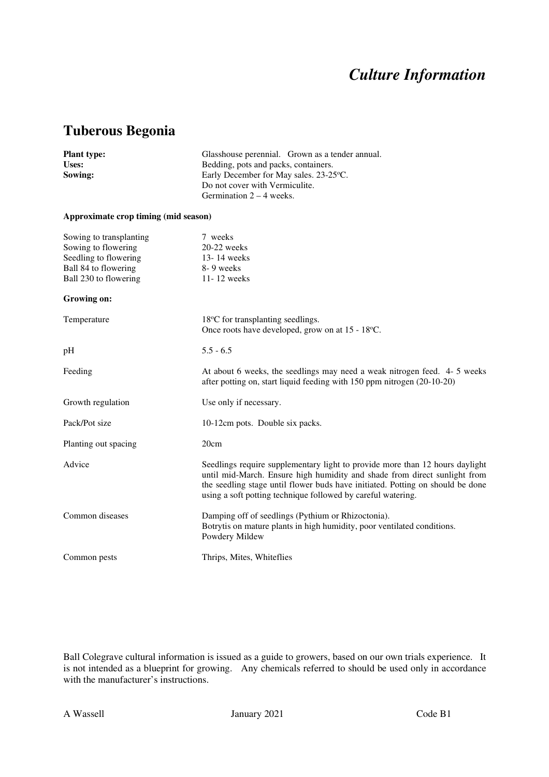### *Culture Information*

### **Tuberous Begonia**

| <b>Plant type:</b>                   | Glasshouse perennial. Grown as a tender annual.                                                                                                                                                                                                                                                             |  |  |  |
|--------------------------------------|-------------------------------------------------------------------------------------------------------------------------------------------------------------------------------------------------------------------------------------------------------------------------------------------------------------|--|--|--|
| <b>Uses:</b>                         | Bedding, pots and packs, containers.                                                                                                                                                                                                                                                                        |  |  |  |
| Sowing:                              | Early December for May sales. 23-25°C.                                                                                                                                                                                                                                                                      |  |  |  |
|                                      | Do not cover with Vermiculite.                                                                                                                                                                                                                                                                              |  |  |  |
|                                      | Germination $2 - 4$ weeks.                                                                                                                                                                                                                                                                                  |  |  |  |
| Approximate crop timing (mid season) |                                                                                                                                                                                                                                                                                                             |  |  |  |
| Sowing to transplanting              | 7 weeks                                                                                                                                                                                                                                                                                                     |  |  |  |
| Sowing to flowering                  | $20-22$ weeks                                                                                                                                                                                                                                                                                               |  |  |  |
| Seedling to flowering                | 13-14 weeks                                                                                                                                                                                                                                                                                                 |  |  |  |
| Ball 84 to flowering                 | 8-9 weeks                                                                                                                                                                                                                                                                                                   |  |  |  |
| Ball 230 to flowering                | 11-12 weeks                                                                                                                                                                                                                                                                                                 |  |  |  |
| Growing on:                          |                                                                                                                                                                                                                                                                                                             |  |  |  |
| Temperature                          | 18°C for transplanting seedlings.                                                                                                                                                                                                                                                                           |  |  |  |
|                                      | Once roots have developed, grow on at 15 - 18°C.                                                                                                                                                                                                                                                            |  |  |  |
| pH                                   | $5.5 - 6.5$                                                                                                                                                                                                                                                                                                 |  |  |  |
| Feeding                              | At about 6 weeks, the seedlings may need a weak nitrogen feed. 4- 5 weeks<br>after potting on, start liquid feeding with 150 ppm nitrogen (20-10-20)                                                                                                                                                        |  |  |  |
| Growth regulation                    | Use only if necessary.                                                                                                                                                                                                                                                                                      |  |  |  |
| Pack/Pot size                        | 10-12cm pots. Double six packs.                                                                                                                                                                                                                                                                             |  |  |  |
| Planting out spacing                 | 20cm                                                                                                                                                                                                                                                                                                        |  |  |  |
| Advice                               | Seedlings require supplementary light to provide more than 12 hours daylight<br>until mid-March. Ensure high humidity and shade from direct sunlight from<br>the seedling stage until flower buds have initiated. Potting on should be done<br>using a soft potting technique followed by careful watering. |  |  |  |
| Common diseases                      | Damping off of seedlings (Pythium or Rhizoctonia).<br>Botrytis on mature plants in high humidity, poor ventilated conditions.<br>Powdery Mildew                                                                                                                                                             |  |  |  |
| Common pests                         | Thrips, Mites, Whiteflies                                                                                                                                                                                                                                                                                   |  |  |  |
|                                      |                                                                                                                                                                                                                                                                                                             |  |  |  |

Ball Colegrave cultural information is issued as a guide to growers, based on our own trials experience. It is not intended as a blueprint for growing. Any chemicals referred to should be used only in accordance with the manufacturer's instructions.